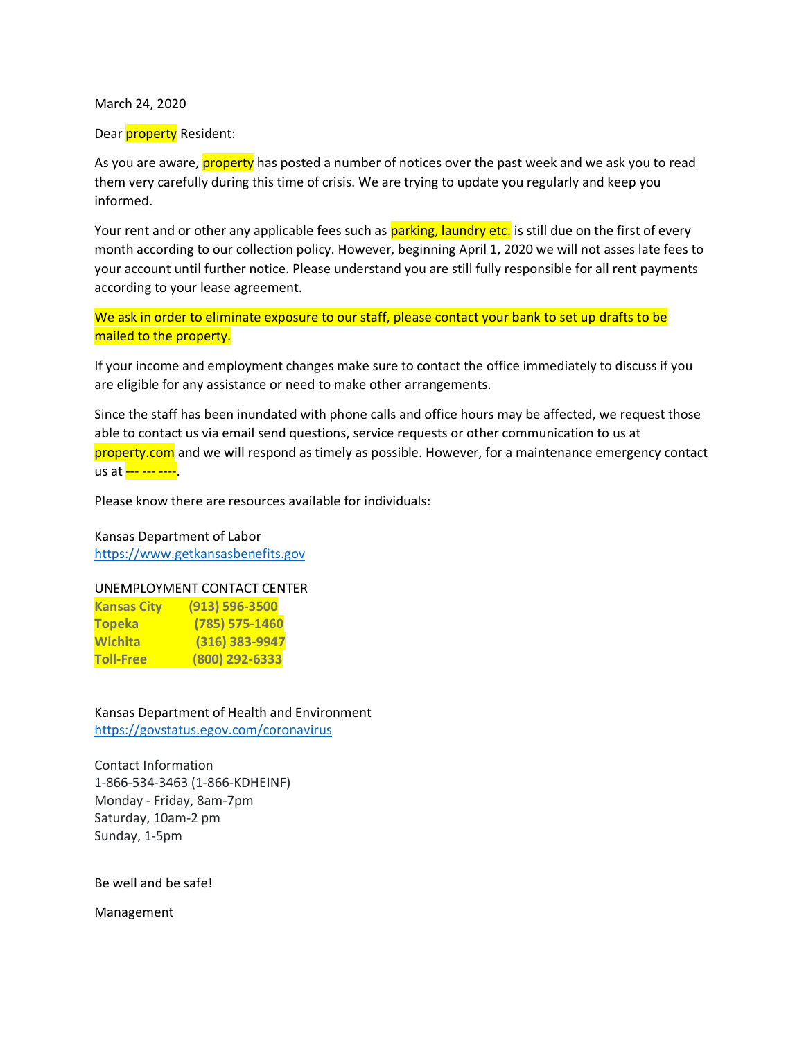March 24, 2020

#### Dear *property* Resident:

As you are aware, **property** has posted a number of notices over the past week and we ask you to read them very carefully during this time of crisis. We are trying to update you regularly and keep you informed.

Your rent and or other any applicable fees such as parking, laundry etc. is still due on the first of every month according to our collection policy. However, beginning April 1, 2020 we will not asses late fees to your account until further notice. Please understand you are still fully responsible for all rent payments according to your lease agreement.

We ask in order to eliminate exposure to our staff, please contact your bank to set up drafts to be mailed to the property.

If your income and employment changes make sure to contact the office immediately to discuss if you are eligible for any assistance or need to make other arrangements.

Since the staff has been inundated with phone calls and office hours may be affected, we request those able to contact us via email send questions, service requests or other communication to us at property.com and we will respond as timely as possible. However, for a maintenance emergency contact us at --- --- ----<mark>.</mark>

Please know there are resources available for individuals:

Kansas Department of Labor https://www.getkansasbenefits.gov

#### UNEMPLOYMENT CONTACT CENTER

| <b>Kansas City</b> | $(913) 596 - 3500$ |
|--------------------|--------------------|
| <b>Topeka</b>      | $(785)$ 575-1460   |
| Wichita            | (316) 383-9947     |
| <b>Toll-Free</b>   | (800) 292-6333     |

Kansas Department of Health and Environment https://govstatus.egov.com/coronavirus

Contact Information 1-866-534-3463 (1-866-KDHEINF) Monday - Friday, 8am-7pm Saturday, 10am-2 pm Sunday, 1-5pm

Be well and be safe!

Management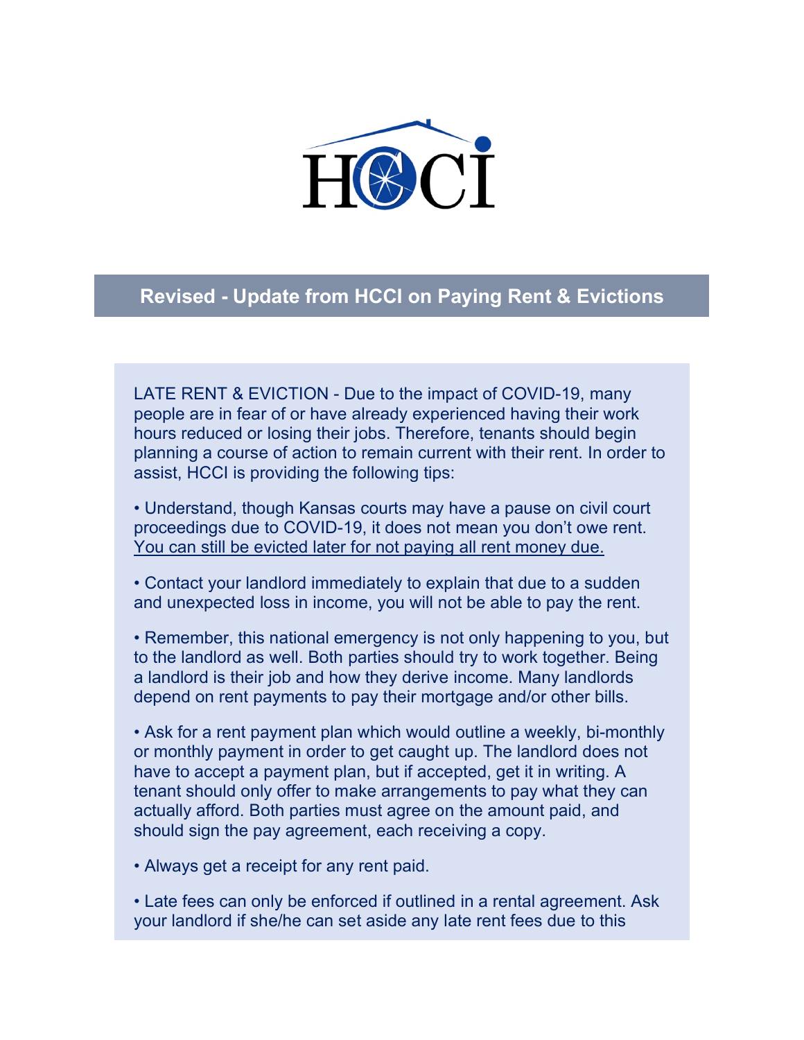

#### **Revised - Update from HCCI on Paying Rent & Evictions**

LATE RENT & EVICTION - Due to the impact of COVID-19, many people are in fear of or have already experienced having their work hours reduced or losing their jobs. Therefore, tenants should begin planning a course of action to remain current with their rent. In order to assist, HCCI is providing the following tips:

• Understand, though Kansas courts may have a pause on civil court proceedings due to COVID-19, it does not mean you don't owe rent. You can still be evicted later for not paying all rent money due.

• Contact your landlord immediately to explain that due to a sudden and unexpected loss in income, you will not be able to pay the rent.

• Remember, this national emergency is not only happening to you, but to the landlord as well. Both parties should try to work together. Being a landlord is their job and how they derive income. Many landlords depend on rent payments to pay their mortgage and/or other bills.

• Ask for a rent payment plan which would outline a weekly, bi-monthly or monthly payment in order to get caught up. The landlord does not have to accept a payment plan, but if accepted, get it in writing. A tenant should only offer to make arrangements to pay what they can actually afford. Both parties must agree on the amount paid, and should sign the pay agreement, each receiving a copy.

• Always get a receipt for any rent paid.

• Late fees can only be enforced if outlined in a rental agreement. Ask your landlord if she/he can set aside any late rent fees due to this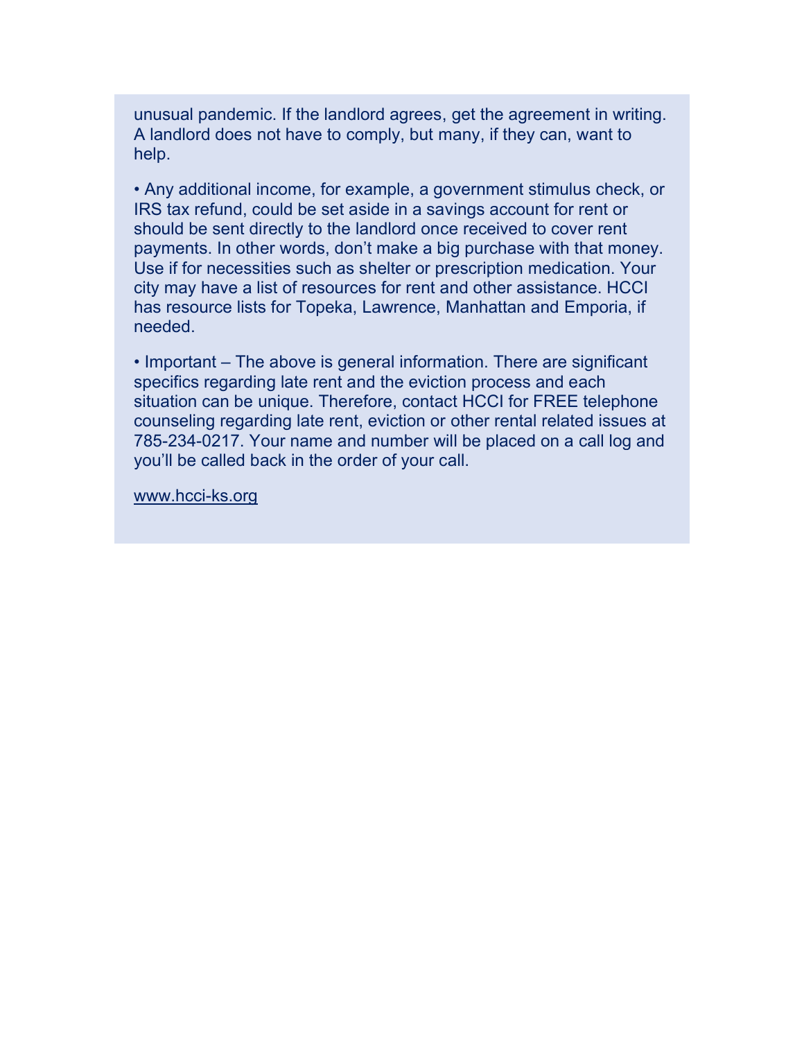unusual pandemic. If the landlord agrees, get the agreement in writing. A landlord does not have to comply, but many, if they can, want to help.

• Any additional income, for example, a government stimulus check, or IRS tax refund, could be set aside in a savings account for rent or should be sent directly to the landlord once received to cover rent payments. In other words, don't make a big purchase with that money. Use if for necessities such as shelter or prescription medication. Your city may have a list of resources for rent and other assistance. HCCI has resource lists for Topeka, Lawrence, Manhattan and Emporia, if needed.

• Important – The above is general information. There are significant specifics regarding late rent and the eviction process and each situation can be unique. Therefore, contact HCCI for FREE telephone counseling regarding late rent, eviction or other rental related issues at 785-234-0217. Your name and number will be placed on a call log and you'll be called back in the order of your call.

www.hcci-ks.org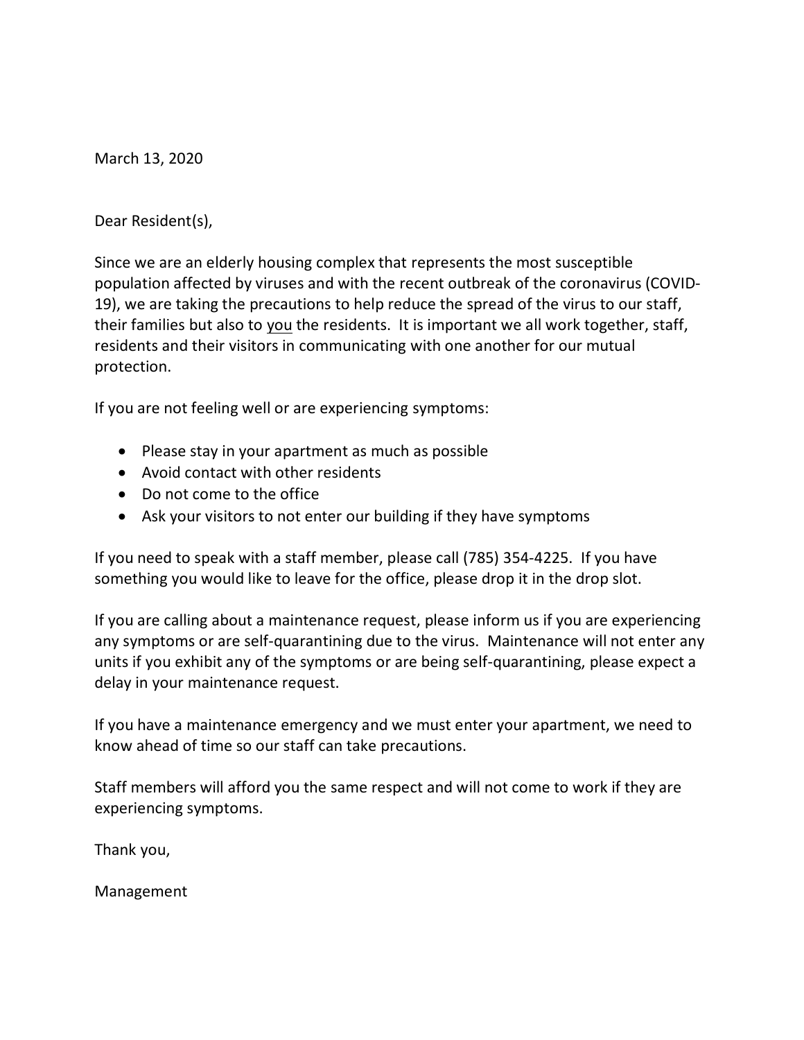March 13, 2020

Dear Resident(s),

Since we are an elderly housing complex that represents the most susceptible population affected by viruses and with the recent outbreak of the coronavirus (COVID-19), we are taking the precautions to help reduce the spread of the virus to our staff, their families but also to you the residents. It is important we all work together, staff, residents and their visitors in communicating with one another for our mutual protection.

If you are not feeling well or are experiencing symptoms:

- Please stay in your apartment as much as possible
- Avoid contact with other residents
- Do not come to the office
- Ask your visitors to not enter our building if they have symptoms

If you need to speak with a staff member, please call (785) 354-4225. If you have something you would like to leave for the office, please drop it in the drop slot.

If you are calling about a maintenance request, please inform us if you are experiencing any symptoms or are self-quarantining due to the virus. Maintenance will not enter any units if you exhibit any of the symptoms or are being self-quarantining, please expect a delay in your maintenance request.

If you have a maintenance emergency and we must enter your apartment, we need to know ahead of time so our staff can take precautions.

Staff members will afford you the same respect and will not come to work if they are experiencing symptoms.

Thank you,

Management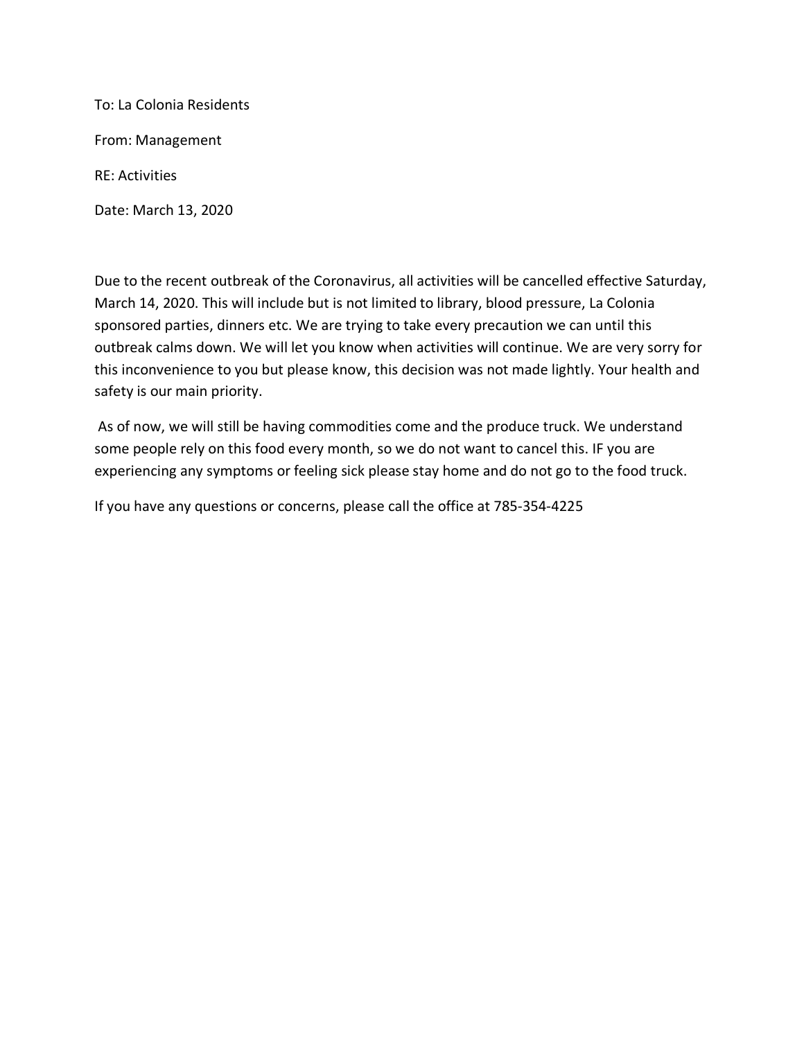To: La Colonia Residents From: Management RE: Activities Date: March 13, 2020

Due to the recent outbreak of the Coronavirus, all activities will be cancelled effective Saturday, March 14, 2020. This will include but is not limited to library, blood pressure, La Colonia sponsored parties, dinners etc. We are trying to take every precaution we can until this outbreak calms down. We will let you know when activities will continue. We are very sorry for this inconvenience to you but please know, this decision was not made lightly. Your health and safety is our main priority.

As of now, we will still be having commodities come and the produce truck. We understand some people rely on this food every month, so we do not want to cancel this. IF you are experiencing any symptoms or feeling sick please stay home and do not go to the food truck.

If you have any questions or concerns, please call the office at 785-354-4225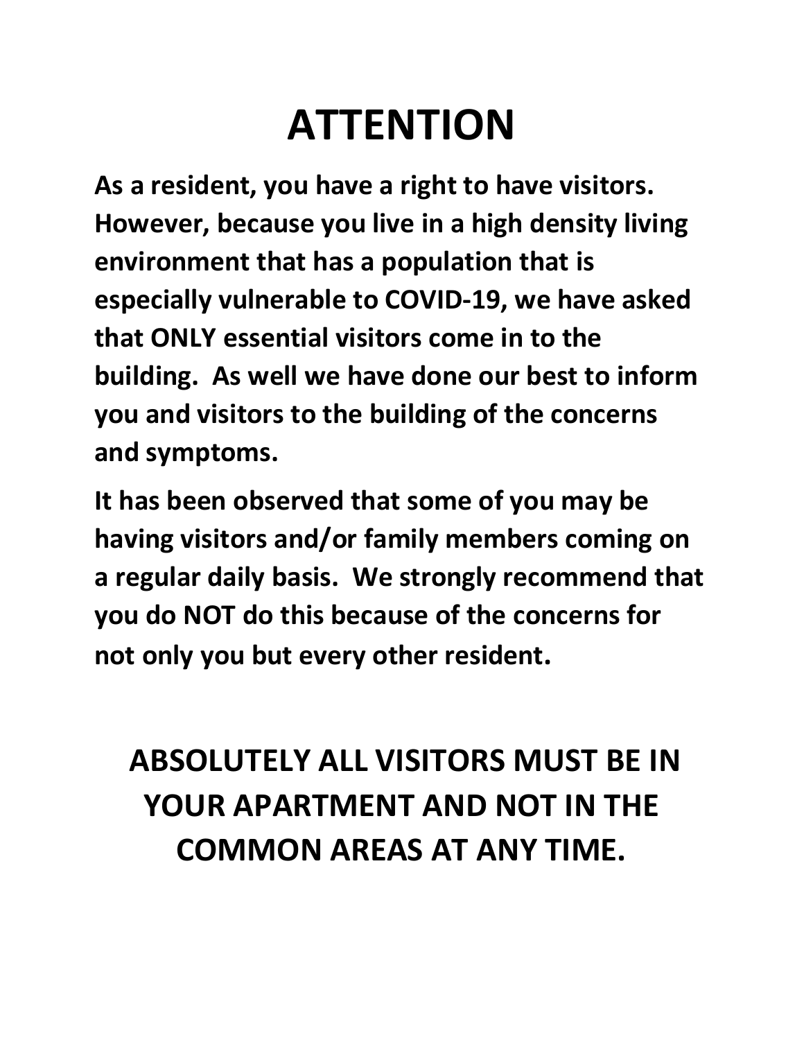### **ATTENTION**

**As a resident, you have a right to have visitors. However, because you live in a high density living environment that has a population that is especially vulnerable to COVID-19, we have asked that ONLY essential visitors come in to the building. As well we have done our best to inform you and visitors to the building of the concerns and symptoms.**

**It has been observed that some of you may be having visitors and/or family members coming on a regular daily basis. We strongly recommend that you do NOT do this because of the concerns for not only you but every other resident.** 

### **ABSOLUTELY ALL VISITORS MUST BE IN YOUR APARTMENT AND NOT IN THE COMMON AREAS AT ANY TIME.**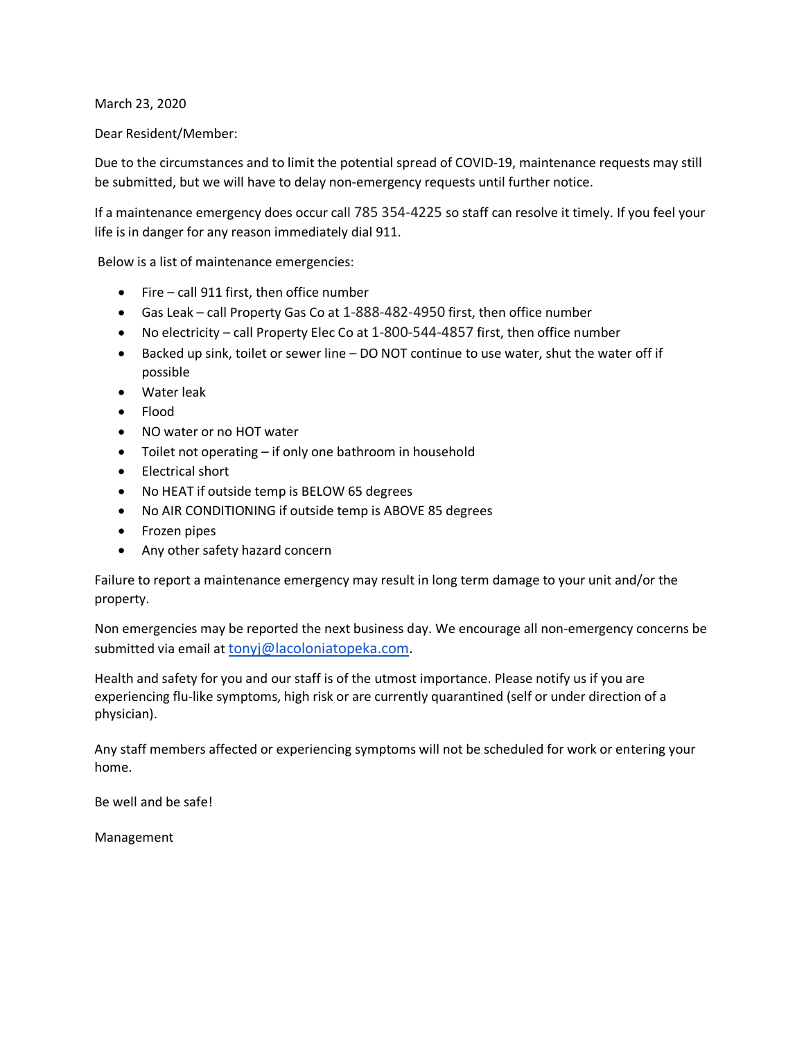March 23, 2020

Dear Resident/Member:

Due to the circumstances and to limit the potential spread of COVID-19, maintenance requests may still be submitted, but we will have to delay non-emergency requests until further notice.

If a maintenance emergency does occur call 785 354-4225 so staff can resolve it timely. If you feel your life is in danger for any reason immediately dial 911.

Below is a list of maintenance emergencies:

- Fire call 911 first, then office number
- Gas Leak call Property Gas Co at 1-888-482-4950 first, then office number
- No electricity call Property Elec Co at 1-800-544-4857 first, then office number
- Backed up sink, toilet or sewer line DO NOT continue to use water, shut the water off if possible
- Water leak
- Flood
- NO water or no HOT water
- Toilet not operating if only one bathroom in household
- Electrical short
- No HEAT if outside temp is BELOW 65 degrees
- No AIR CONDITIONING if outside temp is ABOVE 85 degrees
- Frozen pipes
- Any other safety hazard concern

Failure to report a maintenance emergency may result in long term damage to your unit and/or the property.

Non emergencies may be reported the next business day. We encourage all non-emergency concerns be submitted via email at tonyj@lacoloniatopeka.com.

Health and safety for you and our staff is of the utmost importance. Please notify us if you are experiencing flu-like symptoms, high risk or are currently quarantined (self or under direction of a physician).

Any staff members affected or experiencing symptoms will not be scheduled for work or entering your home.

Be well and be safe!

Management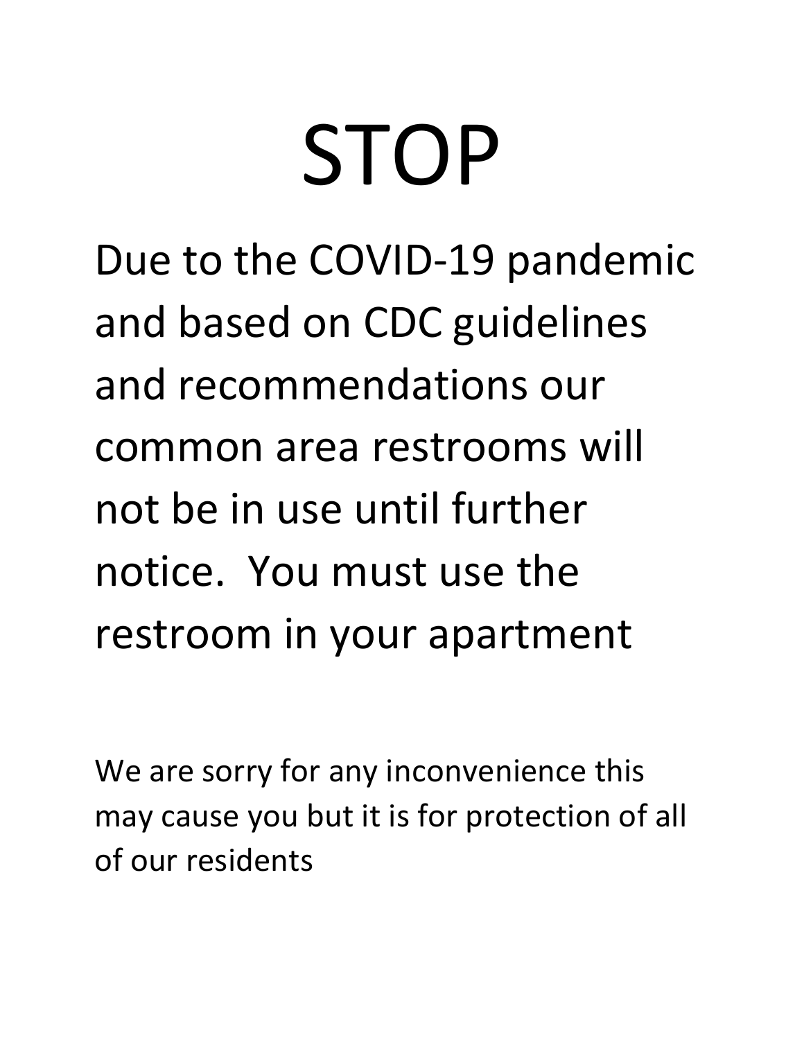# STOP

Due to the COVID-19 pandemic and based on CDC guidelines and recommendations our common area restrooms will not be in use until further notice. You must use the restroom in your apartment

We are sorry for any inconvenience this may cause you but it is for protection of all of our residents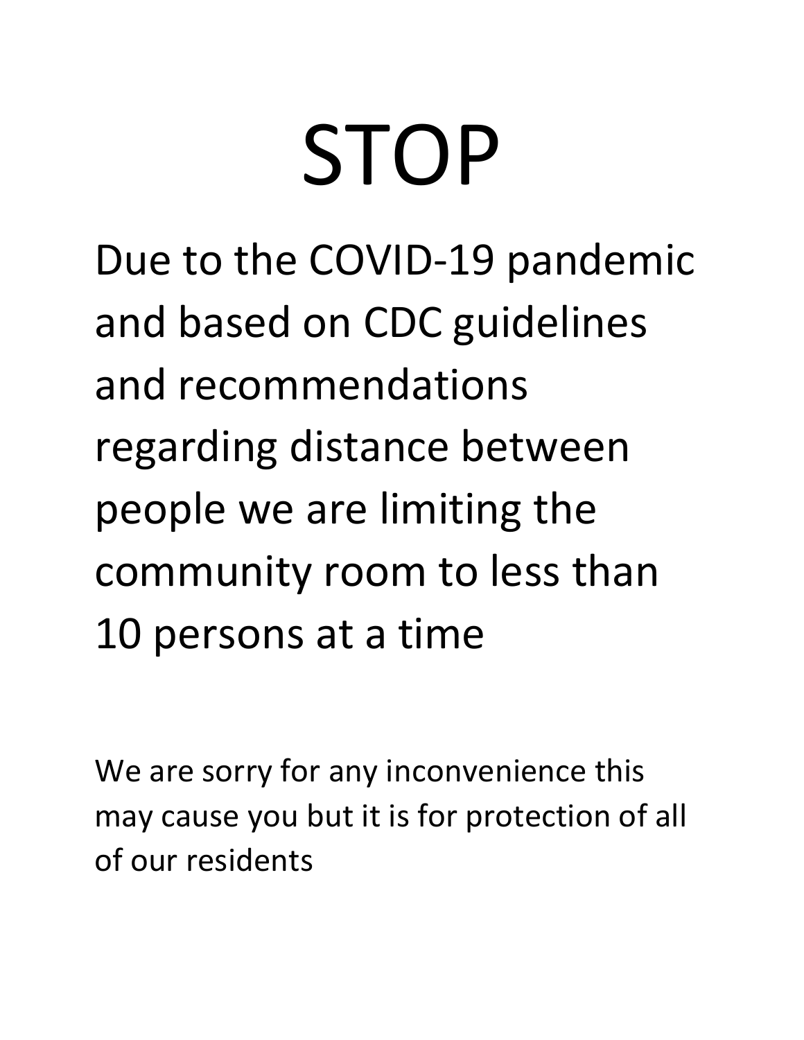# STOP

Due to the COVID-19 pandemic and based on CDC guidelines and recommendations regarding distance between people we are limiting the community room to less than 10 persons at a time

We are sorry for any inconvenience this may cause you but it is for protection of all of our residents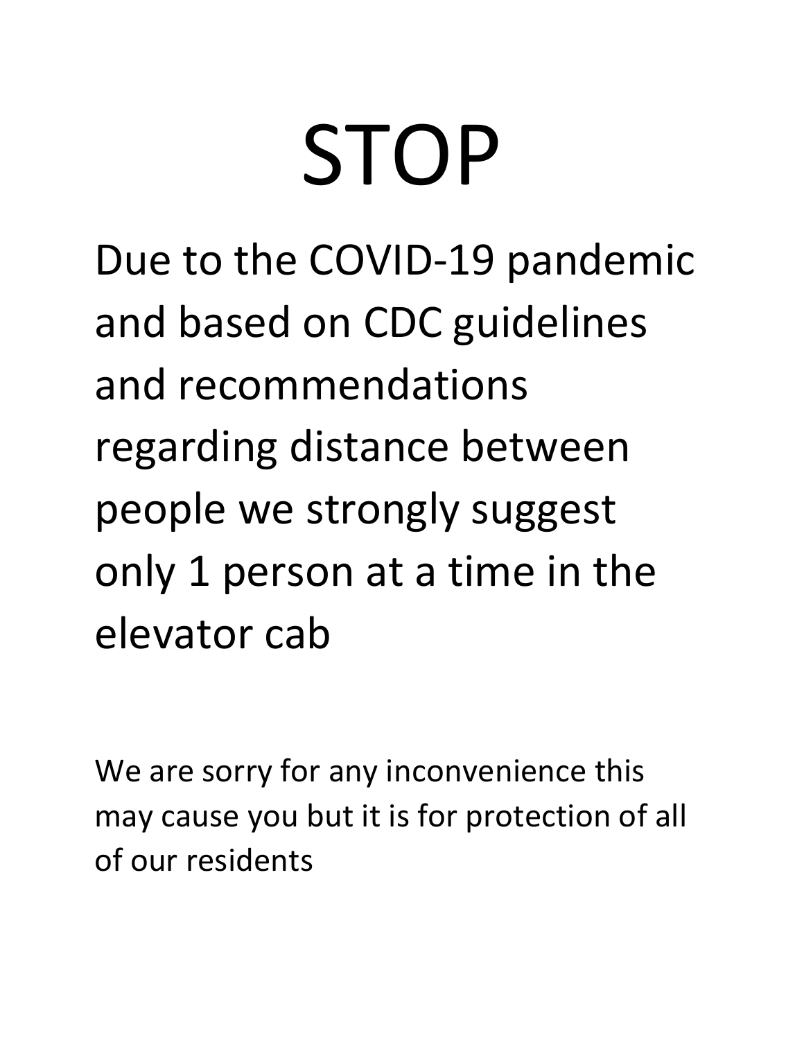# STOP

Due to the COVID-19 pandemic and based on CDC guidelines and recommendations regarding distance between people we strongly suggest only 1 person at a time in the elevator cab

We are sorry for any inconvenience this may cause you but it is for protection of all of our residents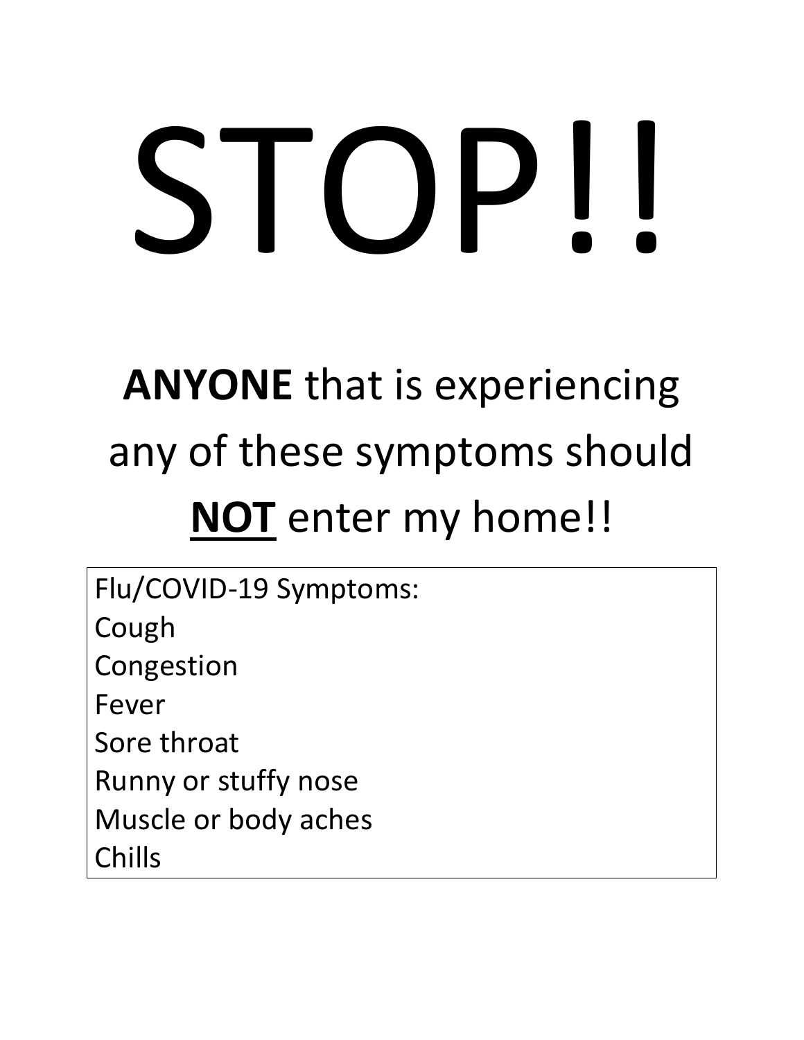# STOP!!

### **ANYONE** that is experiencing any of these symptoms should **NOT** enter my home!!

Flu/COVID-19 Symptoms: Cough Congestion Fever Sore throat Runny or stuffy nose Muscle or body aches Chills